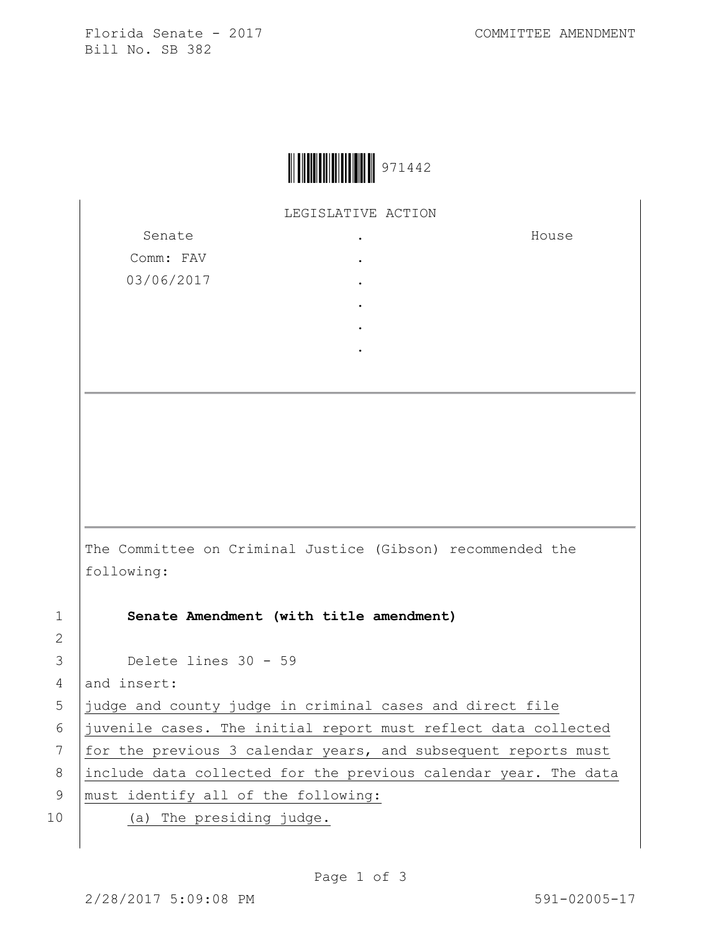Florida Senate - 2017 COMMITTEE AMENDMENT Bill No. SB 382



LEGISLATIVE ACTION

Senate Comm: FAV 03/06/2017 . . . . . . House The Committee on Criminal Justice (Gibson) recommended the following: 1 **Senate Amendment (with title amendment)** 3 Delete lines 30 - 59 4 and insert: 5 judge and county judge in criminal cases and direct file 6 juvenile cases. The initial report must reflect data collected 7 | for the previous 3 calendar years, and subsequent reports must 8 include data collected for the previous calendar year. The data 9 | must identify all of the following: 10 | (a) The presiding judge.

2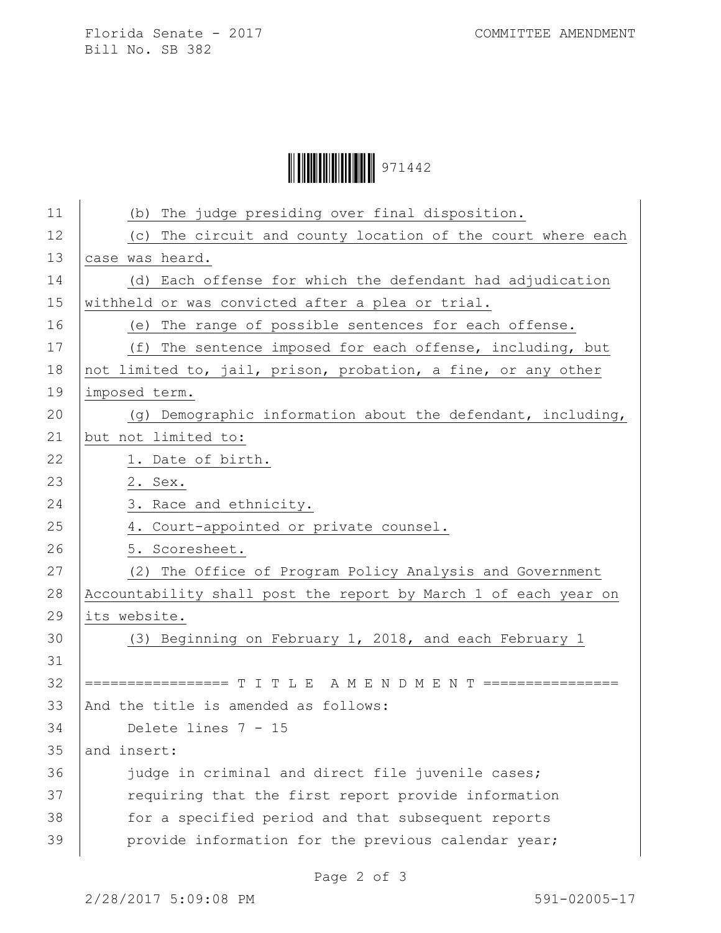## Ì971442ÊÎ971442

| 11 | (b) The judge presiding over final disposition.                 |
|----|-----------------------------------------------------------------|
| 12 | (c) The circuit and county location of the court where each     |
| 13 | case was heard.                                                 |
| 14 | (d) Each offense for which the defendant had adjudication       |
| 15 | withheld or was convicted after a plea or trial.                |
| 16 | (e) The range of possible sentences for each offense.           |
| 17 | (f) The sentence imposed for each offense, including, but       |
| 18 | not limited to, jail, prison, probation, a fine, or any other   |
| 19 | imposed term.                                                   |
| 20 | (g) Demographic information about the defendant, including,     |
| 21 | but not limited to:                                             |
| 22 | 1. Date of birth.                                               |
| 23 | 2. Sex.                                                         |
| 24 | 3. Race and ethnicity.                                          |
| 25 | 4. Court-appointed or private counsel.                          |
| 26 | 5. Scoresheet.                                                  |
| 27 | (2) The Office of Program Policy Analysis and Government        |
| 28 | Accountability shall post the report by March 1 of each year on |
| 29 | its website.                                                    |
| 30 | (3) Beginning on February 1, 2018, and each February 1          |
| 31 |                                                                 |
| 32 | ================= T I T L E A M E N D M E N T ================  |
| 33 | And the title is amended as follows:                            |
| 34 | Delete lines $7 - 15$                                           |
| 35 | and insert:                                                     |
| 36 | judge in criminal and direct file juvenile cases;               |
| 37 | requiring that the first report provide information             |
| 38 | for a specified period and that subsequent reports              |
| 39 | provide information for the previous calendar year;             |
|    |                                                                 |